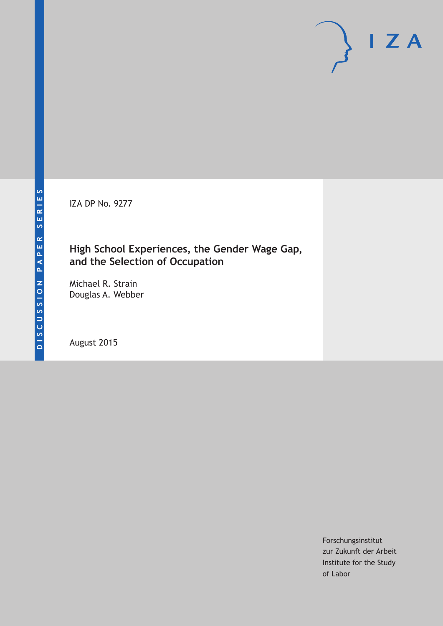IZA DP No. 9277

## **High School Experiences, the Gender Wage Gap, and the Selection of Occupation**

Michael R. Strain Douglas A. Webber

August 2015

Forschungsinstitut zur Zukunft der Arbeit Institute for the Study of Labor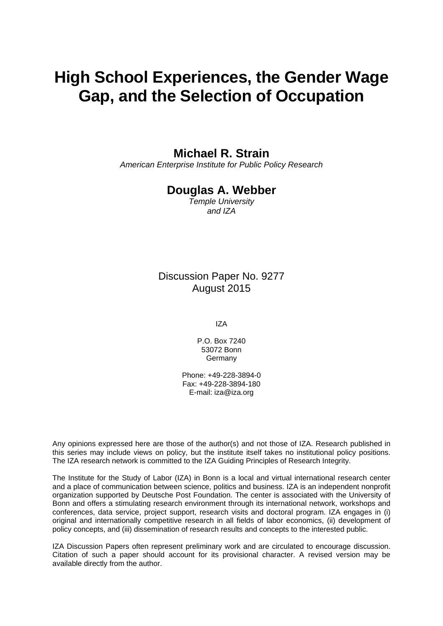# **High School Experiences, the Gender Wage Gap, and the Selection of Occupation**

### **Michael R. Strain**

*American Enterprise Institute for Public Policy Research* 

### **Douglas A. Webber**

*Temple University and IZA* 

Discussion Paper No. 9277 August 2015

IZA

P.O. Box 7240 53072 Bonn Germany

Phone: +49-228-3894-0 Fax: +49-228-3894-180 E-mail: iza@iza.org

Any opinions expressed here are those of the author(s) and not those of IZA. Research published in this series may include views on policy, but the institute itself takes no institutional policy positions. The IZA research network is committed to the IZA Guiding Principles of Research Integrity.

The Institute for the Study of Labor (IZA) in Bonn is a local and virtual international research center and a place of communication between science, politics and business. IZA is an independent nonprofit organization supported by Deutsche Post Foundation. The center is associated with the University of Bonn and offers a stimulating research environment through its international network, workshops and conferences, data service, project support, research visits and doctoral program. IZA engages in (i) original and internationally competitive research in all fields of labor economics, (ii) development of policy concepts, and (iii) dissemination of research results and concepts to the interested public.

IZA Discussion Papers often represent preliminary work and are circulated to encourage discussion. Citation of such a paper should account for its provisional character. A revised version may be available directly from the author.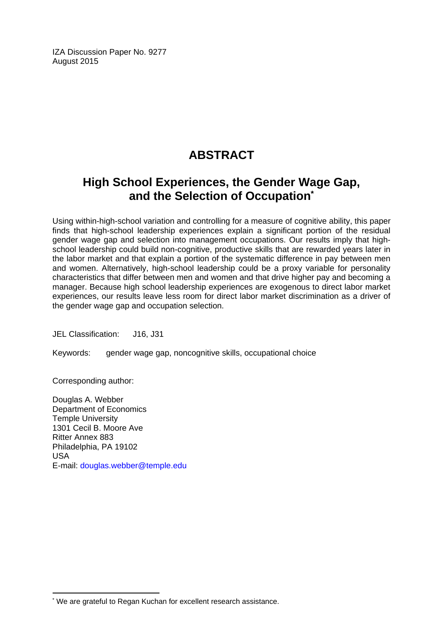IZA Discussion Paper No. 9277 August 2015

# **ABSTRACT**

# **High School Experiences, the Gender Wage Gap, and the Selection of Occupation\***

Using within-high-school variation and controlling for a measure of cognitive ability, this paper finds that high-school leadership experiences explain a significant portion of the residual gender wage gap and selection into management occupations. Our results imply that highschool leadership could build non-cognitive, productive skills that are rewarded years later in the labor market and that explain a portion of the systematic difference in pay between men and women. Alternatively, high-school leadership could be a proxy variable for personality characteristics that differ between men and women and that drive higher pay and becoming a manager. Because high school leadership experiences are exogenous to direct labor market experiences, our results leave less room for direct labor market discrimination as a driver of the gender wage gap and occupation selection.

JEL Classification: J16, J31

Keywords: gender wage gap, noncognitive skills, occupational choice

Corresponding author:

 $\overline{a}$ 

Douglas A. Webber Department of Economics Temple University 1301 Cecil B. Moore Ave Ritter Annex 883 Philadelphia, PA 19102 USA E-mail: douglas.webber@temple.edu

<sup>\*</sup> We are grateful to Regan Kuchan for excellent research assistance.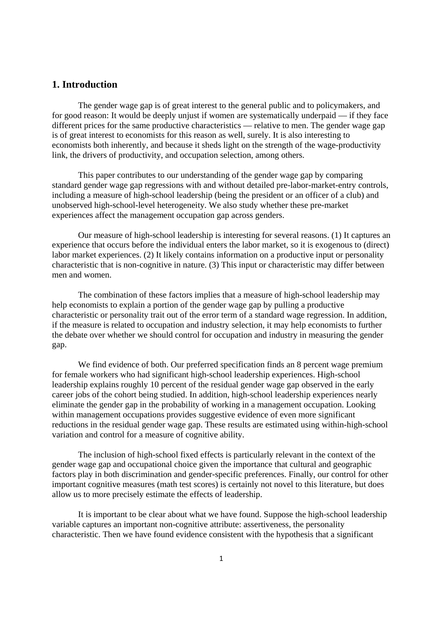#### **1. Introduction**

 The gender wage gap is of great interest to the general public and to policymakers, and for good reason: It would be deeply unjust if women are systematically underpaid — if they face different prices for the same productive characteristics — relative to men. The gender wage gap is of great interest to economists for this reason as well, surely. It is also interesting to economists both inherently, and because it sheds light on the strength of the wage-productivity link, the drivers of productivity, and occupation selection, among others.

 This paper contributes to our understanding of the gender wage gap by comparing standard gender wage gap regressions with and without detailed pre-labor-market-entry controls, including a measure of high-school leadership (being the president or an officer of a club) and unobserved high-school-level heterogeneity. We also study whether these pre-market experiences affect the management occupation gap across genders.

Our measure of high-school leadership is interesting for several reasons. (1) It captures an experience that occurs before the individual enters the labor market, so it is exogenous to (direct) labor market experiences. (2) It likely contains information on a productive input or personality characteristic that is non-cognitive in nature. (3) This input or characteristic may differ between men and women.

The combination of these factors implies that a measure of high-school leadership may help economists to explain a portion of the gender wage gap by pulling a productive characteristic or personality trait out of the error term of a standard wage regression. In addition, if the measure is related to occupation and industry selection, it may help economists to further the debate over whether we should control for occupation and industry in measuring the gender gap.

We find evidence of both. Our preferred specification finds an 8 percent wage premium for female workers who had significant high-school leadership experiences. High-school leadership explains roughly 10 percent of the residual gender wage gap observed in the early career jobs of the cohort being studied. In addition, high-school leadership experiences nearly eliminate the gender gap in the probability of working in a management occupation. Looking within management occupations provides suggestive evidence of even more significant reductions in the residual gender wage gap. These results are estimated using within-high-school variation and control for a measure of cognitive ability.

The inclusion of high-school fixed effects is particularly relevant in the context of the gender wage gap and occupational choice given the importance that cultural and geographic factors play in both discrimination and gender-specific preferences. Finally, our control for other important cognitive measures (math test scores) is certainly not novel to this literature, but does allow us to more precisely estimate the effects of leadership.

 It is important to be clear about what we have found. Suppose the high-school leadership variable captures an important non-cognitive attribute: assertiveness, the personality characteristic. Then we have found evidence consistent with the hypothesis that a significant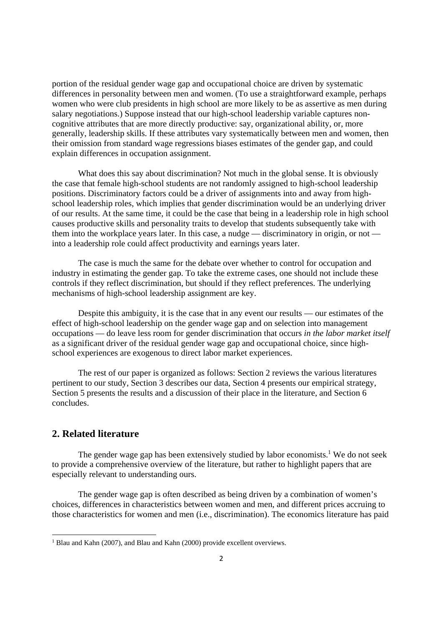portion of the residual gender wage gap and occupational choice are driven by systematic differences in personality between men and women. (To use a straightforward example, perhaps women who were club presidents in high school are more likely to be as assertive as men during salary negotiations.) Suppose instead that our high-school leadership variable captures noncognitive attributes that are more directly productive: say, organizational ability, or, more generally, leadership skills. If these attributes vary systematically between men and women, then their omission from standard wage regressions biases estimates of the gender gap, and could explain differences in occupation assignment.

 What does this say about discrimination? Not much in the global sense. It is obviously the case that female high-school students are not randomly assigned to high-school leadership positions. Discriminatory factors could be a driver of assignments into and away from highschool leadership roles, which implies that gender discrimination would be an underlying driver of our results. At the same time, it could be the case that being in a leadership role in high school causes productive skills and personality traits to develop that students subsequently take with them into the workplace years later. In this case, a nudge — discriminatory in origin, or not into a leadership role could affect productivity and earnings years later.

The case is much the same for the debate over whether to control for occupation and industry in estimating the gender gap. To take the extreme cases, one should not include these controls if they reflect discrimination, but should if they reflect preferences. The underlying mechanisms of high-school leadership assignment are key.

Despite this ambiguity, it is the case that in any event our results — our estimates of the effect of high-school leadership on the gender wage gap and on selection into management occupations — do leave less room for gender discrimination that occurs *in the labor market itself* as a significant driver of the residual gender wage gap and occupational choice, since highschool experiences are exogenous to direct labor market experiences.

 The rest of our paper is organized as follows: Section 2 reviews the various literatures pertinent to our study, Section 3 describes our data, Section 4 presents our empirical strategy, Section 5 presents the results and a discussion of their place in the literature, and Section 6 concludes.

#### **2. Related literature**

The gender wage gap has been extensively studied by labor economists.<sup>1</sup> We do not seek to provide a comprehensive overview of the literature, but rather to highlight papers that are especially relevant to understanding ours.

 The gender wage gap is often described as being driven by a combination of women's choices, differences in characteristics between women and men, and different prices accruing to those characteristics for women and men (i.e., discrimination). The economics literature has paid

<sup>&</sup>lt;sup>1</sup> Blau and Kahn (2007), and Blau and Kahn (2000) provide excellent overviews.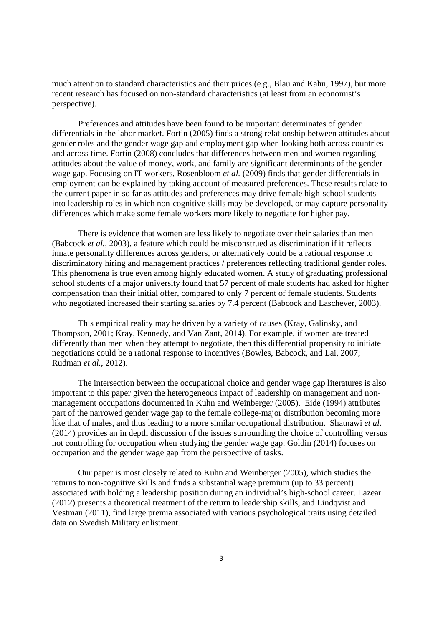much attention to standard characteristics and their prices (e.g., Blau and Kahn, 1997), but more recent research has focused on non-standard characteristics (at least from an economist's perspective).

Preferences and attitudes have been found to be important determinates of gender differentials in the labor market. Fortin (2005) finds a strong relationship between attitudes about gender roles and the gender wage gap and employment gap when looking both across countries and across time. Fortin (2008) concludes that differences between men and women regarding attitudes about the value of money, work, and family are significant determinants of the gender wage gap. Focusing on IT workers, Rosenbloom *et al.* (2009) finds that gender differentials in employment can be explained by taking account of measured preferences. These results relate to the current paper in so far as attitudes and preferences may drive female high-school students into leadership roles in which non-cognitive skills may be developed, or may capture personality differences which make some female workers more likely to negotiate for higher pay.

There is evidence that women are less likely to negotiate over their salaries than men (Babcock *et al.*, 2003), a feature which could be misconstrued as discrimination if it reflects innate personality differences across genders, or alternatively could be a rational response to discriminatory hiring and management practices / preferences reflecting traditional gender roles. This phenomena is true even among highly educated women. A study of graduating professional school students of a major university found that 57 percent of male students had asked for higher compensation than their initial offer, compared to only 7 percent of female students. Students who negotiated increased their starting salaries by 7.4 percent (Babcock and Laschever, 2003).

 This empirical reality may be driven by a variety of causes (Kray, Galinsky, and Thompson, 2001; Kray, Kennedy, and Van Zant, 2014). For example, if women are treated differently than men when they attempt to negotiate, then this differential propensity to initiate negotiations could be a rational response to incentives (Bowles, Babcock, and Lai, 2007; Rudman *et al.*, 2012).

 The intersection between the occupational choice and gender wage gap literatures is also important to this paper given the heterogeneous impact of leadership on management and nonmanagement occupations documented in Kuhn and Weinberger (2005). Eide (1994) attributes part of the narrowed gender wage gap to the female college-major distribution becoming more like that of males, and thus leading to a more similar occupational distribution. Shatnawi *et al*. (2014) provides an in depth discussion of the issues surrounding the choice of controlling versus not controlling for occupation when studying the gender wage gap. Goldin (2014) focuses on occupation and the gender wage gap from the perspective of tasks.

Our paper is most closely related to Kuhn and Weinberger (2005), which studies the returns to non-cognitive skills and finds a substantial wage premium (up to 33 percent) associated with holding a leadership position during an individual's high-school career. Lazear (2012) presents a theoretical treatment of the return to leadership skills, and Lindqvist and Vestman (2011), find large premia associated with various psychological traits using detailed data on Swedish Military enlistment.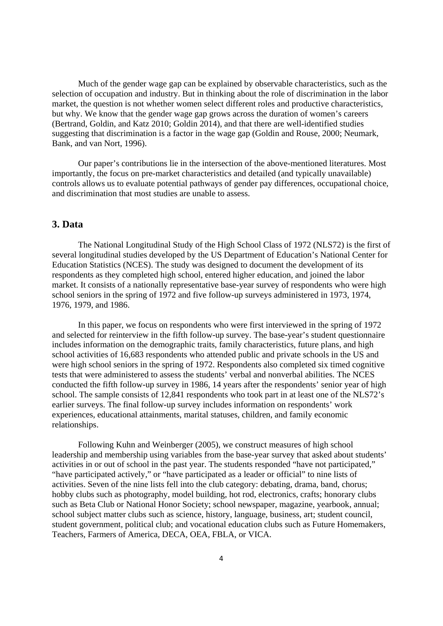Much of the gender wage gap can be explained by observable characteristics, such as the selection of occupation and industry. But in thinking about the role of discrimination in the labor market, the question is not whether women select different roles and productive characteristics, but why. We know that the gender wage gap grows across the duration of women's careers (Bertrand, Goldin, and Katz 2010; Goldin 2014), and that there are well-identified studies suggesting that discrimination is a factor in the wage gap (Goldin and Rouse, 2000; Neumark, Bank, and van Nort, 1996).

Our paper's contributions lie in the intersection of the above-mentioned literatures. Most importantly, the focus on pre-market characteristics and detailed (and typically unavailable) controls allows us to evaluate potential pathways of gender pay differences, occupational choice, and discrimination that most studies are unable to assess.

#### **3. Data**

The National Longitudinal Study of the High School Class of 1972 (NLS72) is the first of several longitudinal studies developed by the US Department of Education's National Center for Education Statistics (NCES). The study was designed to document the development of its respondents as they completed high school, entered higher education, and joined the labor market. It consists of a nationally representative base-year survey of respondents who were high school seniors in the spring of 1972 and five follow-up surveys administered in 1973, 1974, 1976, 1979, and 1986.

In this paper, we focus on respondents who were first interviewed in the spring of 1972 and selected for reinterview in the fifth follow-up survey. The base-year's student questionnaire includes information on the demographic traits, family characteristics, future plans, and high school activities of 16,683 respondents who attended public and private schools in the US and were high school seniors in the spring of 1972. Respondents also completed six timed cognitive tests that were administered to assess the students' verbal and nonverbal abilities. The NCES conducted the fifth follow-up survey in 1986, 14 years after the respondents' senior year of high school. The sample consists of 12,841 respondents who took part in at least one of the NLS72's earlier surveys. The final follow-up survey includes information on respondents' work experiences, educational attainments, marital statuses, children, and family economic relationships.

Following Kuhn and Weinberger (2005), we construct measures of high school leadership and membership using variables from the base-year survey that asked about students' activities in or out of school in the past year. The students responded "have not participated," "have participated actively," or "have participated as a leader or official" to nine lists of activities. Seven of the nine lists fell into the club category: debating, drama, band, chorus; hobby clubs such as photography, model building, hot rod, electronics, crafts; honorary clubs such as Beta Club or National Honor Society; school newspaper, magazine, yearbook, annual; school subject matter clubs such as science, history, language, business, art; student council, student government, political club; and vocational education clubs such as Future Homemakers, Teachers, Farmers of America, DECA, OEA, FBLA, or VICA.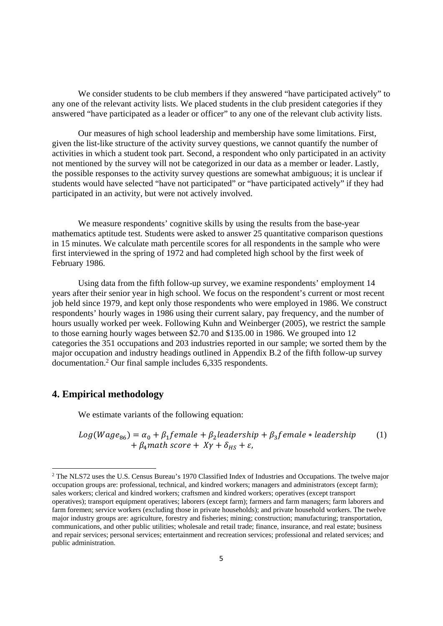We consider students to be club members if they answered "have participated actively" to any one of the relevant activity lists. We placed students in the club president categories if they answered "have participated as a leader or officer" to any one of the relevant club activity lists.

Our measures of high school leadership and membership have some limitations. First, given the list-like structure of the activity survey questions, we cannot quantify the number of activities in which a student took part. Second, a respondent who only participated in an activity not mentioned by the survey will not be categorized in our data as a member or leader. Lastly, the possible responses to the activity survey questions are somewhat ambiguous; it is unclear if students would have selected "have not participated" or "have participated actively" if they had participated in an activity, but were not actively involved.

We measure respondents' cognitive skills by using the results from the base-year mathematics aptitude test. Students were asked to answer 25 quantitative comparison questions in 15 minutes. We calculate math percentile scores for all respondents in the sample who were first interviewed in the spring of 1972 and had completed high school by the first week of February 1986.

Using data from the fifth follow-up survey, we examine respondents' employment 14 years after their senior year in high school. We focus on the respondent's current or most recent job held since 1979, and kept only those respondents who were employed in 1986. We construct respondents' hourly wages in 1986 using their current salary, pay frequency, and the number of hours usually worked per week. Following Kuhn and Weinberger (2005), we restrict the sample to those earning hourly wages between \$2.70 and \$135.00 in 1986. We grouped into 12 categories the 351 occupations and 203 industries reported in our sample; we sorted them by the major occupation and industry headings outlined in Appendix B.2 of the fifth follow-up survey documentation.<sup>2</sup> Our final sample includes 6,335 respondents.

#### **4. Empirical methodology**

We estimate variants of the following equation:

 $Log(Wage_{86}) = \alpha_0 + \beta_1 female + \beta_2 leadsership + \beta_3 female * leadership$  $+ \beta_4$  math score  $+ XY + \delta_{HS} + \varepsilon$ , (1)

<sup>&</sup>lt;sup>2</sup> The NLS72 uses the U.S. Census Bureau's 1970 Classified Index of Industries and Occupations. The twelve major occupation groups are: professional, technical, and kindred workers; managers and administrators (except farm); sales workers; clerical and kindred workers; craftsmen and kindred workers; operatives (except transport operatives); transport equipment operatives; laborers (except farm); farmers and farm managers; farm laborers and farm foremen; service workers (excluding those in private households); and private household workers. The twelve major industry groups are: agriculture, forestry and fisheries; mining; construction; manufacturing; transportation, communications, and other public utilities; wholesale and retail trade; finance, insurance, and real estate; business and repair services; personal services; entertainment and recreation services; professional and related services; and public administration.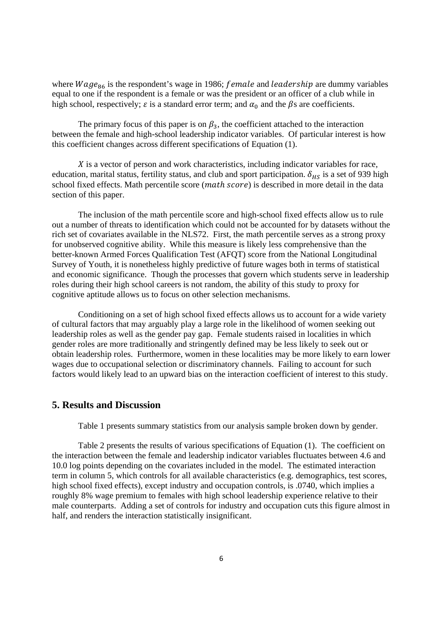where  $Wage_{86}$  is the respondent's wage in 1986; female and leadership are dummy variables equal to one if the respondent is a female or was the president or an officer of a club while in high school, respectively;  $\varepsilon$  is a standard error term; and  $\alpha_0$  and the  $\beta$ s are coefficients.

The primary focus of this paper is on  $\beta_3$ , the coefficient attached to the interaction between the female and high-school leadership indicator variables. Of particular interest is how this coefficient changes across different specifications of Equation (1).

X is a vector of person and work characteristics, including indicator variables for race, education, marital status, fertility status, and club and sport participation.  $\delta_{H_S}$  is a set of 939 high school fixed effects. Math percentile score (math score) is described in more detail in the data section of this paper.

 The inclusion of the math percentile score and high-school fixed effects allow us to rule out a number of threats to identification which could not be accounted for by datasets without the rich set of covariates available in the NLS72. First, the math percentile serves as a strong proxy for unobserved cognitive ability. While this measure is likely less comprehensive than the better-known Armed Forces Qualification Test (AFQT) score from the National Longitudinal Survey of Youth, it is nonetheless highly predictive of future wages both in terms of statistical and economic significance. Though the processes that govern which students serve in leadership roles during their high school careers is not random, the ability of this study to proxy for cognitive aptitude allows us to focus on other selection mechanisms.

 Conditioning on a set of high school fixed effects allows us to account for a wide variety of cultural factors that may arguably play a large role in the likelihood of women seeking out leadership roles as well as the gender pay gap. Female students raised in localities in which gender roles are more traditionally and stringently defined may be less likely to seek out or obtain leadership roles. Furthermore, women in these localities may be more likely to earn lower wages due to occupational selection or discriminatory channels. Failing to account for such factors would likely lead to an upward bias on the interaction coefficient of interest to this study.

#### **5. Results and Discussion**

Table 1 presents summary statistics from our analysis sample broken down by gender.

 Table 2 presents the results of various specifications of Equation (1). The coefficient on the interaction between the female and leadership indicator variables fluctuates between 4.6 and 10.0 log points depending on the covariates included in the model. The estimated interaction term in column 5, which controls for all available characteristics (e.g. demographics, test scores, high school fixed effects), except industry and occupation controls, is .0740, which implies a roughly 8% wage premium to females with high school leadership experience relative to their male counterparts. Adding a set of controls for industry and occupation cuts this figure almost in half, and renders the interaction statistically insignificant.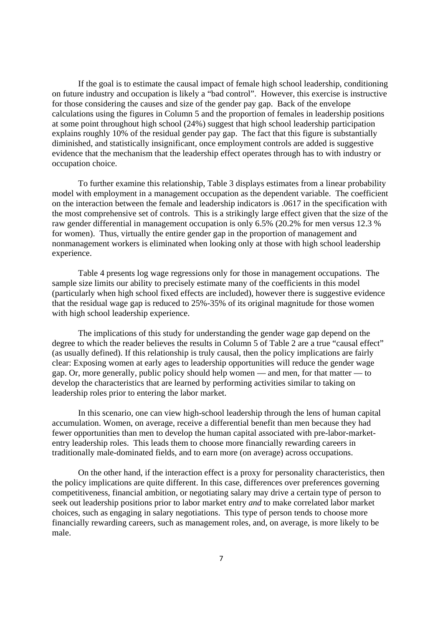If the goal is to estimate the causal impact of female high school leadership, conditioning on future industry and occupation is likely a "bad control". However, this exercise is instructive for those considering the causes and size of the gender pay gap. Back of the envelope calculations using the figures in Column 5 and the proportion of females in leadership positions at some point throughout high school (24%) suggest that high school leadership participation explains roughly 10% of the residual gender pay gap. The fact that this figure is substantially diminished, and statistically insignificant, once employment controls are added is suggestive evidence that the mechanism that the leadership effect operates through has to with industry or occupation choice.

 To further examine this relationship, Table 3 displays estimates from a linear probability model with employment in a management occupation as the dependent variable. The coefficient on the interaction between the female and leadership indicators is .0617 in the specification with the most comprehensive set of controls. This is a strikingly large effect given that the size of the raw gender differential in management occupation is only 6.5% (20.2% for men versus 12.3 % for women). Thus, virtually the entire gender gap in the proportion of management and nonmanagement workers is eliminated when looking only at those with high school leadership experience.

Table 4 presents log wage regressions only for those in management occupations. The sample size limits our ability to precisely estimate many of the coefficients in this model (particularly when high school fixed effects are included), however there is suggestive evidence that the residual wage gap is reduced to 25%-35% of its original magnitude for those women with high school leadership experience.

The implications of this study for understanding the gender wage gap depend on the degree to which the reader believes the results in Column 5 of Table 2 are a true "causal effect" (as usually defined). If this relationship is truly causal, then the policy implications are fairly clear: Exposing women at early ages to leadership opportunities will reduce the gender wage gap. Or, more generally, public policy should help women — and men, for that matter — to develop the characteristics that are learned by performing activities similar to taking on leadership roles prior to entering the labor market.

In this scenario, one can view high-school leadership through the lens of human capital accumulation. Women, on average, receive a differential benefit than men because they had fewer opportunities than men to develop the human capital associated with pre-labor-marketentry leadership roles. This leads them to choose more financially rewarding careers in traditionally male-dominated fields, and to earn more (on average) across occupations.

On the other hand, if the interaction effect is a proxy for personality characteristics, then the policy implications are quite different. In this case, differences over preferences governing competitiveness, financial ambition, or negotiating salary may drive a certain type of person to seek out leadership positions prior to labor market entry *and* to make correlated labor market choices, such as engaging in salary negotiations. This type of person tends to choose more financially rewarding careers, such as management roles, and, on average, is more likely to be male.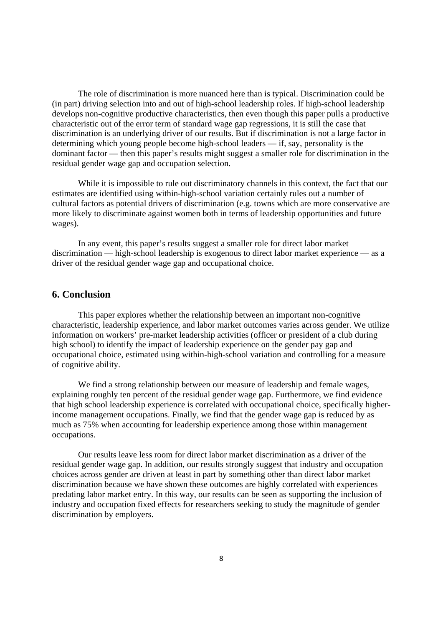The role of discrimination is more nuanced here than is typical. Discrimination could be (in part) driving selection into and out of high-school leadership roles. If high-school leadership develops non-cognitive productive characteristics, then even though this paper pulls a productive characteristic out of the error term of standard wage gap regressions, it is still the case that discrimination is an underlying driver of our results. But if discrimination is not a large factor in determining which young people become high-school leaders — if, say, personality is the dominant factor — then this paper's results might suggest a smaller role for discrimination in the residual gender wage gap and occupation selection.

While it is impossible to rule out discriminatory channels in this context, the fact that our estimates are identified using within-high-school variation certainly rules out a number of cultural factors as potential drivers of discrimination (e.g. towns which are more conservative are more likely to discriminate against women both in terms of leadership opportunities and future wages).

In any event, this paper's results suggest a smaller role for direct labor market discrimination — high-school leadership is exogenous to direct labor market experience — as a driver of the residual gender wage gap and occupational choice.

#### **6. Conclusion**

 This paper explores whether the relationship between an important non-cognitive characteristic, leadership experience, and labor market outcomes varies across gender. We utilize information on workers' pre-market leadership activities (officer or president of a club during high school) to identify the impact of leadership experience on the gender pay gap and occupational choice, estimated using within-high-school variation and controlling for a measure of cognitive ability.

 We find a strong relationship between our measure of leadership and female wages, explaining roughly ten percent of the residual gender wage gap. Furthermore, we find evidence that high school leadership experience is correlated with occupational choice, specifically higherincome management occupations. Finally, we find that the gender wage gap is reduced by as much as 75% when accounting for leadership experience among those within management occupations.

 Our results leave less room for direct labor market discrimination as a driver of the residual gender wage gap. In addition, our results strongly suggest that industry and occupation choices across gender are driven at least in part by something other than direct labor market discrimination because we have shown these outcomes are highly correlated with experiences predating labor market entry. In this way, our results can be seen as supporting the inclusion of industry and occupation fixed effects for researchers seeking to study the magnitude of gender discrimination by employers.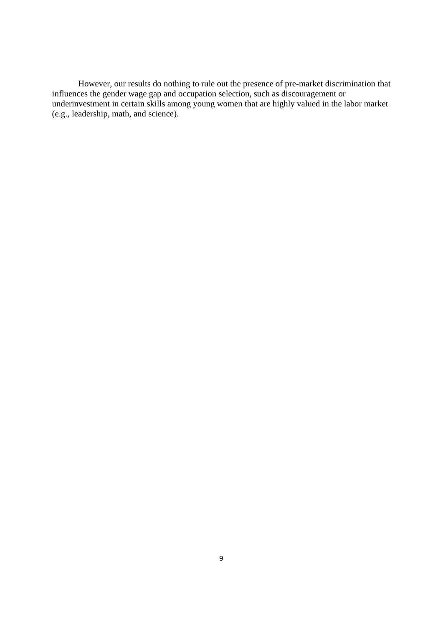However, our results do nothing to rule out the presence of pre-market discrimination that influences the gender wage gap and occupation selection, such as discouragement or underinvestment in certain skills among young women that are highly valued in the labor market (e.g., leadership, math, and science).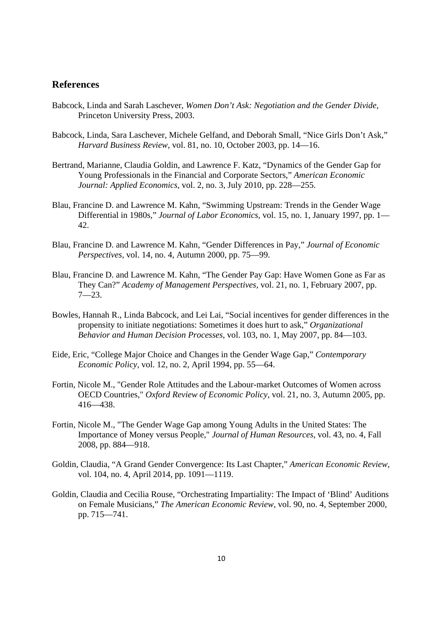#### **References**

- Babcock, Linda and Sarah Laschever, *Women Don't Ask: Negotiation and the Gender Divide,* Princeton University Press, 2003.
- Babcock, Linda, Sara Laschever, Michele Gelfand, and Deborah Small, "Nice Girls Don't Ask," *Harvard Business Review,* vol. 81, no. 10, October 2003, pp. 14—16.
- Bertrand, Marianne, Claudia Goldin, and Lawrence F. Katz, "Dynamics of the Gender Gap for Young Professionals in the Financial and Corporate Sectors," *American Economic Journal: Applied Economics,* vol. 2, no. 3, July 2010, pp. 228—255.
- Blau, Francine D. and Lawrence M. Kahn, "Swimming Upstream: Trends in the Gender Wage Differential in 1980s," *Journal of Labor Economics,* vol. 15, no. 1, January 1997, pp. 1— 42.
- Blau, Francine D. and Lawrence M. Kahn, "Gender Differences in Pay," *Journal of Economic Perspectives,* vol. 14, no. 4, Autumn 2000, pp. 75—99.
- Blau, Francine D. and Lawrence M. Kahn, "The Gender Pay Gap: Have Women Gone as Far as They Can?" *Academy of Management Perspectives,* vol. 21, no. 1, February 2007, pp. 7—23.
- Bowles, Hannah R., Linda Babcock, and Lei Lai, "Social incentives for gender differences in the propensity to initiate negotiations: Sometimes it does hurt to ask," *Organizational Behavior and Human Decision Processes,* vol. 103, no. 1, May 2007, pp. 84—103.
- Eide, Eric, "College Major Choice and Changes in the Gender Wage Gap," *Contemporary Economic Policy,* vol. 12, no. 2, April 1994, pp. 55—64.
- Fortin, Nicole M., "Gender Role Attitudes and the Labour-market Outcomes of Women across OECD Countries," *Oxford Review of Economic Policy*, vol. 21, no. 3, Autumn 2005, pp. 416—438.
- Fortin, Nicole M., "The Gender Wage Gap among Young Adults in the United States: The Importance of Money versus People," *Journal of Human Resources*, vol. 43, no. 4, Fall 2008, pp. 884—918.
- Goldin, Claudia, "A Grand Gender Convergence: Its Last Chapter," *American Economic Review,* vol. 104, no. 4, April 2014, pp. 1091—1119.
- Goldin, Claudia and Cecilia Rouse, "Orchestrating Impartiality: The Impact of 'Blind' Auditions on Female Musicians," *The American Economic Review,* vol. 90, no. 4, September 2000, pp. 715—741.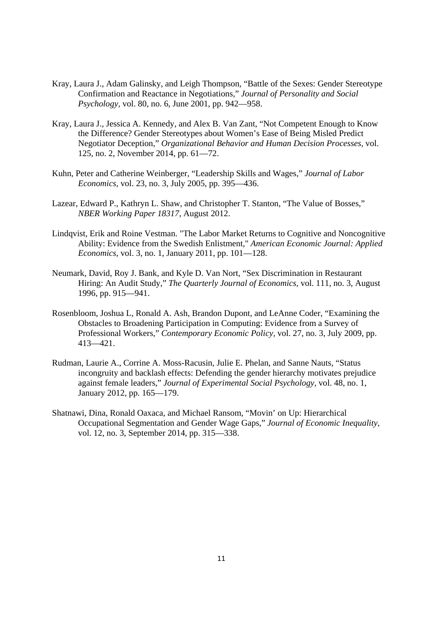- Kray, Laura J., Adam Galinsky, and Leigh Thompson, "Battle of the Sexes: Gender Stereotype Confirmation and Reactance in Negotiations," *Journal of Personality and Social Psychology,* vol. 80, no. 6, June 2001, pp. 942—958.
- Kray, Laura J., Jessica A. Kennedy, and Alex B. Van Zant, "Not Competent Enough to Know the Difference? Gender Stereotypes about Women's Ease of Being Misled Predict Negotiator Deception," *Organizational Behavior and Human Decision Processes,* vol. 125, no. 2, November 2014, pp. 61—72.
- Kuhn, Peter and Catherine Weinberger, "Leadership Skills and Wages," *Journal of Labor Economics,* vol. 23, no. 3, July 2005, pp. 395—436.
- Lazear, Edward P., Kathryn L. Shaw, and Christopher T. Stanton, "The Value of Bosses," *NBER Working Paper 18317,* August 2012.
- Lindqvist, Erik and Roine Vestman. "The Labor Market Returns to Cognitive and Noncognitive Ability: Evidence from the Swedish Enlistment," *American Economic Journal: Applied Economics*, vol. 3, no. 1, January 2011, pp. 101—128.
- Neumark, David, Roy J. Bank, and Kyle D. Van Nort, "Sex Discrimination in Restaurant Hiring: An Audit Study," *The Quarterly Journal of Economics,* vol. 111, no. 3, August 1996, pp. 915—941.
- Rosenbloom, Joshua L, Ronald A. Ash, Brandon Dupont, and LeAnne Coder, "Examining the Obstacles to Broadening Participation in Computing: Evidence from a Survey of Professional Workers," *Contemporary Economic Policy,* vol. 27, no. 3, July 2009, pp. 413—421.
- Rudman, Laurie A., Corrine A. Moss-Racusin, Julie E. Phelan, and Sanne Nauts, "Status incongruity and backlash effects: Defending the gender hierarchy motivates prejudice against female leaders," *Journal of Experimental Social Psychology,* vol. 48, no. 1, January 2012, pp. 165—179.
- Shatnawi, Dina, Ronald Oaxaca, and Michael Ransom, "Movin' on Up: Hierarchical Occupational Segmentation and Gender Wage Gaps," *Journal of Economic Inequality,* vol. 12, no. 3, September 2014, pp. 315—338.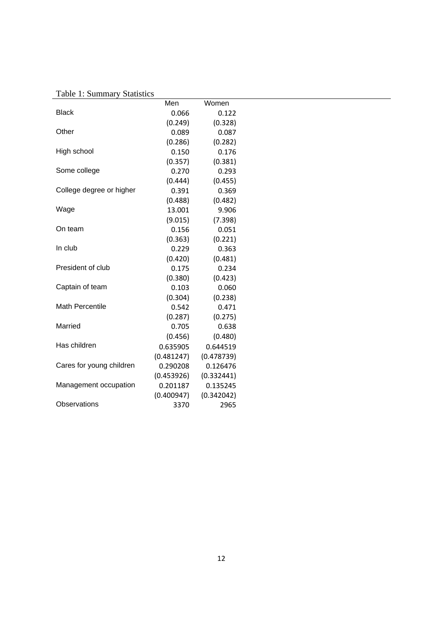Table 1: Summary Statistics

|                          | Men        | Women      |
|--------------------------|------------|------------|
| <b>Black</b>             | 0.066      | 0.122      |
|                          | (0.249)    | (0.328)    |
| Other                    | 0.089      | 0.087      |
|                          | (0.286)    | (0.282)    |
| High school              | 0.150      | 0.176      |
|                          | (0.357)    | (0.381)    |
| Some college             | 0.270      | 0.293      |
|                          | (0.444)    | (0.455)    |
| College degree or higher | 0.391      | 0.369      |
|                          | (0.488)    | (0.482)    |
| Wage                     | 13.001     | 9.906      |
|                          | (9.015)    | (7.398)    |
| On team                  | 0.156      | 0.051      |
|                          | (0.363)    | (0.221)    |
| In club                  | 0.229      | 0.363      |
|                          | (0.420)    | (0.481)    |
| President of club        | 0.175      | 0.234      |
|                          | (0.380)    | (0.423)    |
| Captain of team          | 0.103      | 0.060      |
|                          | (0.304)    | (0.238)    |
| <b>Math Percentile</b>   | 0.542      | 0.471      |
|                          | (0.287)    | (0.275)    |
| Married                  | 0.705      | 0.638      |
|                          | (0.456)    | (0.480)    |
| Has children             | 0.635905   | 0.644519   |
|                          | (0.481247) | (0.478739) |
| Cares for young children | 0.290208   | 0.126476   |
|                          | (0.453926) | (0.332441) |
| Management occupation    | 0.201187   | 0.135245   |
|                          | (0.400947) | (0.342042) |
| Observations             | 3370       | 2965       |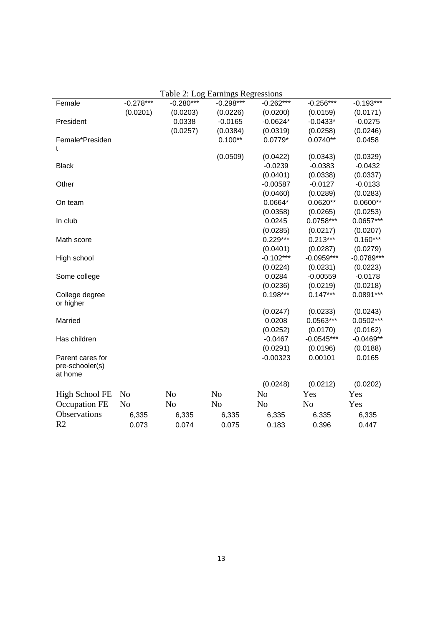|                       |                |                | Table 2: Log Earnings Regressions |                |                |              |
|-----------------------|----------------|----------------|-----------------------------------|----------------|----------------|--------------|
| Female                | $-0.278***$    | $-0.280***$    | $-0.298***$                       | $-0.262***$    | $-0.256***$    | $-0.193***$  |
|                       | (0.0201)       | (0.0203)       | (0.0226)                          | (0.0200)       | (0.0159)       | (0.0171)     |
| President             |                | 0.0338         | $-0.0165$                         | $-0.0624*$     | $-0.0433*$     | $-0.0275$    |
|                       |                | (0.0257)       | (0.0384)                          | (0.0319)       | (0.0258)       | (0.0246)     |
| Female*Presiden       |                |                | $0.100**$                         | $0.0779*$      | $0.0740**$     | 0.0458       |
| t                     |                |                |                                   |                |                |              |
|                       |                |                | (0.0509)                          | (0.0422)       | (0.0343)       | (0.0329)     |
| <b>Black</b>          |                |                |                                   | $-0.0239$      | $-0.0383$      | $-0.0432$    |
|                       |                |                |                                   | (0.0401)       | (0.0338)       | (0.0337)     |
| Other                 |                |                |                                   | $-0.00587$     | $-0.0127$      | $-0.0133$    |
|                       |                |                |                                   | (0.0460)       | (0.0289)       | (0.0283)     |
| On team               |                |                |                                   | $0.0664*$      | $0.0620**$     | $0.0600**$   |
|                       |                |                |                                   | (0.0358)       | (0.0265)       | (0.0253)     |
| In club               |                |                |                                   | 0.0245         | $0.0758***$    | $0.0657***$  |
|                       |                |                |                                   | (0.0285)       | (0.0217)       | (0.0207)     |
| Math score            |                |                |                                   | $0.229***$     | $0.213***$     | $0.160***$   |
|                       |                |                |                                   | (0.0401)       | (0.0287)       | (0.0279)     |
| High school           |                |                |                                   | $-0.102***$    | $-0.0959***$   | $-0.0789***$ |
|                       |                |                |                                   | (0.0224)       | (0.0231)       | (0.0223)     |
| Some college          |                |                |                                   | 0.0284         | $-0.00559$     | $-0.0178$    |
|                       |                |                |                                   | (0.0236)       | (0.0219)       | (0.0218)     |
| College degree        |                |                |                                   | $0.198***$     | $0.147***$     | $0.0891***$  |
| or higher             |                |                |                                   |                |                |              |
|                       |                |                |                                   | (0.0247)       | (0.0233)       | (0.0243)     |
| Married               |                |                |                                   | 0.0208         | $0.0563***$    | $0.0502***$  |
|                       |                |                |                                   | (0.0252)       | (0.0170)       | (0.0162)     |
| Has children          |                |                |                                   | $-0.0467$      | $-0.0545***$   | $-0.0469**$  |
|                       |                |                |                                   | (0.0291)       | (0.0196)       | (0.0188)     |
| Parent cares for      |                |                |                                   | $-0.00323$     | 0.00101        | 0.0165       |
| pre-schooler(s)       |                |                |                                   |                |                |              |
| at home               |                |                |                                   |                |                |              |
|                       |                |                |                                   | (0.0248)       | (0.0212)       | (0.0202)     |
| <b>High School FE</b> | N <sub>o</sub> | N <sub>o</sub> | N <sub>o</sub>                    | N <sub>o</sub> | Yes            | Yes          |
| Occupation FE         | N <sub>o</sub> | N <sub>o</sub> | N <sub>o</sub>                    | No             | N <sub>o</sub> | Yes          |
| Observations          | 6,335          | 6,335          | 6,335                             | 6,335          | 6,335          | 6,335        |
| R <sub>2</sub>        | 0.073          | 0.074          | 0.075                             | 0.183          | 0.396          | 0.447        |

Table 2: Log Earnings Regressions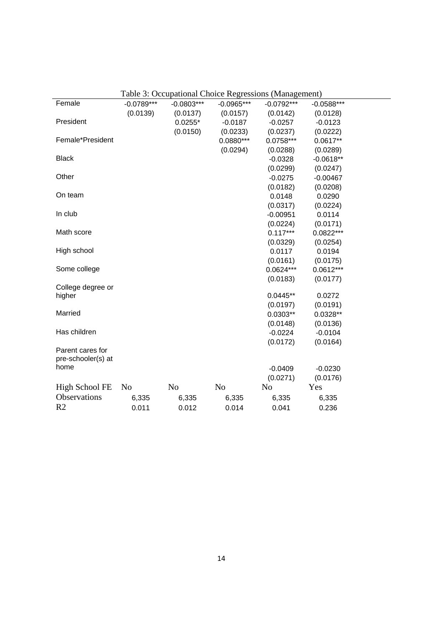|                    |                |                |                | raone 5. Occupational Chonce Regressions (management) |              |  |
|--------------------|----------------|----------------|----------------|-------------------------------------------------------|--------------|--|
| Female             | $-0.0789***$   | $-0.0803***$   | $-0.0965***$   | $-0.0792***$                                          | $-0.0588***$ |  |
|                    | (0.0139)       | (0.0137)       | (0.0157)       | (0.0142)                                              | (0.0128)     |  |
| President          |                | $0.0255*$      | $-0.0187$      | $-0.0257$                                             | $-0.0123$    |  |
|                    |                | (0.0150)       | (0.0233)       | (0.0237)                                              | (0.0222)     |  |
| Female*President   |                |                | $0.0880***$    | $0.0758***$                                           | $0.0617**$   |  |
|                    |                |                | (0.0294)       | (0.0288)                                              | (0.0289)     |  |
| <b>Black</b>       |                |                |                | $-0.0328$                                             | $-0.0618**$  |  |
|                    |                |                |                | (0.0299)                                              | (0.0247)     |  |
| Other              |                |                |                | $-0.0275$                                             | $-0.00467$   |  |
|                    |                |                |                | (0.0182)                                              | (0.0208)     |  |
| On team            |                |                |                | 0.0148                                                | 0.0290       |  |
|                    |                |                |                | (0.0317)                                              | (0.0224)     |  |
| In club            |                |                |                | $-0.00951$                                            | 0.0114       |  |
|                    |                |                |                | (0.0224)                                              | (0.0171)     |  |
| Math score         |                |                |                | $0.117***$                                            | 0.0822***    |  |
|                    |                |                |                | (0.0329)                                              | (0.0254)     |  |
| High school        |                |                |                | 0.0117                                                | 0.0194       |  |
|                    |                |                |                | (0.0161)                                              | (0.0175)     |  |
| Some college       |                |                |                | $0.0624***$                                           | $0.0612***$  |  |
|                    |                |                |                | (0.0183)                                              | (0.0177)     |  |
| College degree or  |                |                |                |                                                       |              |  |
| higher             |                |                |                | $0.0445**$                                            | 0.0272       |  |
|                    |                |                |                | (0.0197)                                              | (0.0191)     |  |
| Married            |                |                |                | $0.0303**$                                            | $0.0328**$   |  |
|                    |                |                |                | (0.0148)                                              | (0.0136)     |  |
| Has children       |                |                |                | $-0.0224$                                             | $-0.0104$    |  |
|                    |                |                |                | (0.0172)                                              | (0.0164)     |  |
| Parent cares for   |                |                |                |                                                       |              |  |
| pre-schooler(s) at |                |                |                |                                                       |              |  |
| home               |                |                |                | $-0.0409$                                             | $-0.0230$    |  |
|                    |                |                |                | (0.0271)                                              | (0.0176)     |  |
| High School FE     | N <sub>o</sub> | N <sub>0</sub> | N <sub>0</sub> | N <sub>o</sub>                                        | Yes          |  |
| Observations       | 6,335          | 6,335          | 6,335          | 6,335                                                 | 6,335        |  |
| R <sub>2</sub>     | 0.011          | 0.012          | 0.014          | 0.041                                                 | 0.236        |  |
|                    |                |                |                |                                                       |              |  |

Table 3: Occupational Choice Regressions (Management)